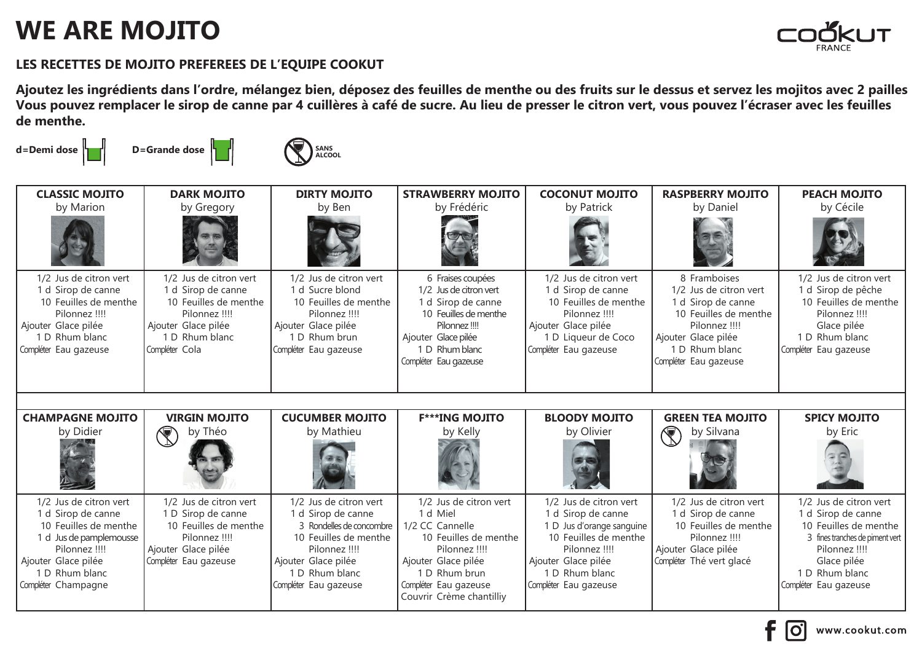## **WE ARE MOJITO**



## **LES RECETTES DE MOJITO PREFEREES DE L'EQUIPE COOKUT**

**Ajoutez les ingrédients dans l'ordre, mélangez bien, déposez des feuilles de menthe ou des fruits sur le dessus et servez les mojitos avec 2 pailles Vous pouvez remplacer le sirop de canne par 4 cuillères à café de sucre. Au lieu de presser le citron vert, vous pouvez l'écraser avec les feuilles de menthe.**

d=Demi dose **definitive** D=Grande dose **SANS ALCOOL**

| <b>CLASSIC MOJITO</b>                                                                                                                                                             | <b>DARK MOJITO</b>                                                                                                                                | <b>DIRTY MOJITO</b>                                                                                                                                                                  | <b>STRAWBERRY MOJITO</b>                                                                                                                                                                     | <b>COCONUT MOJITO</b>                                                                                                                                                                 | <b>RASPBERRY MOJITO</b>                                                                                                                                                  | <b>PEACH MOJITO</b>                                                                                                                                                                 |
|-----------------------------------------------------------------------------------------------------------------------------------------------------------------------------------|---------------------------------------------------------------------------------------------------------------------------------------------------|--------------------------------------------------------------------------------------------------------------------------------------------------------------------------------------|----------------------------------------------------------------------------------------------------------------------------------------------------------------------------------------------|---------------------------------------------------------------------------------------------------------------------------------------------------------------------------------------|--------------------------------------------------------------------------------------------------------------------------------------------------------------------------|-------------------------------------------------------------------------------------------------------------------------------------------------------------------------------------|
| by Marion                                                                                                                                                                         | by Gregory                                                                                                                                        | by Ben                                                                                                                                                                               | by Frédéric                                                                                                                                                                                  | by Patrick                                                                                                                                                                            | by Daniel                                                                                                                                                                | by Cécile                                                                                                                                                                           |
|                                                                                                                                                                                   |                                                                                                                                                   |                                                                                                                                                                                      |                                                                                                                                                                                              |                                                                                                                                                                                       |                                                                                                                                                                          |                                                                                                                                                                                     |
| 1/2 Jus de citron vert<br>1 d Sirop de canne<br>10 Feuilles de menthe<br>Pilonnez !!!!<br>Ajouter Glace pilée<br>1 D Rhum blanc<br>Compléter Eau gazeuse                          | 1/2 Jus de citron vert<br>1 d Sirop de canne<br>10 Feuilles de menthe<br>Pilonnez !!!!<br>Ajouter Glace pilée<br>1 D Rhum blanc<br>Compléter Cola | 1/2 Jus de citron vert<br>1 d Sucre blond<br>10 Feuilles de menthe<br>Pilonnez !!!!<br>Ajouter Glace pilée<br>1 D Rhum brun<br>Compléter Eau gazeuse                                 | 6 Fraises coupées<br>1/2 Jus de citron vert<br>1 d Sirop de canne<br>10 Feuilles de menthe<br>Pilonnez !!!!<br>Ajouter Glace pilée<br>1 D Rhum blanc<br>Compléter Eau gazeuse                | 1/2 Jus de citron vert<br>1 d Sirop de canne<br>10 Feuilles de menthe<br>Pilonnez !!!!<br>Ajouter Glace pilée<br>1 D Liqueur de Coco<br>Compléter Eau gazeuse                         | 8 Framboises<br>1/2 Jus de citron vert<br>1 d Sirop de canne<br>10 Feuilles de menthe<br>Pilonnez !!!!<br>Ajouter Glace pilée<br>1 D Rhum blanc<br>Compléter Eau gazeuse | 1/2 Jus de citron vert<br>1 d Sirop de pêche<br>10 Feuilles de menthe<br>Pilonnez !!!!<br>Glace pilée<br>1 D Rhum blanc<br>Compléter Eau gazeuse                                    |
|                                                                                                                                                                                   |                                                                                                                                                   |                                                                                                                                                                                      |                                                                                                                                                                                              |                                                                                                                                                                                       |                                                                                                                                                                          |                                                                                                                                                                                     |
| <b>CHAMPAGNE MOJITO</b>                                                                                                                                                           | <b>VIRGIN MOJITO</b>                                                                                                                              | <b>CUCUMBER MOJITO</b>                                                                                                                                                               | <b>F***ING MOJITO</b>                                                                                                                                                                        | <b>BLOODY MOJITO</b>                                                                                                                                                                  | <b>GREEN TEA MOJITO</b>                                                                                                                                                  | <b>SPICY MOJITO</b>                                                                                                                                                                 |
| by Didier                                                                                                                                                                         | by Théo<br>$\widehat{\mathbb{F}}$ .                                                                                                               | by Mathieu                                                                                                                                                                           | by Kelly                                                                                                                                                                                     | by Olivier                                                                                                                                                                            | by Silvana<br>$\mathbb{R}$                                                                                                                                               | by Eric                                                                                                                                                                             |
| 1/2 Jus de citron vert<br>1 d Sirop de canne<br>10 Feuilles de menthe<br>1 d Jus de pamplemousse<br>Pilonnez !!!!<br>Ajouter Glace pilée<br>1 D Rhum blanc<br>Compléter Champagne | 1/2 Jus de citron vert<br>1 D Sirop de canne<br>10 Feuilles de menthe<br>Pilonnez !!!!<br>Ajouter Glace pilée<br>Compléter Eau gazeuse            | 1/2 Jus de citron vert<br>1 d Sirop de canne<br>3 Rondelles de concombre<br>10 Feuilles de menthe<br>Pilonnez !!!!<br>Ajouter Glace pilée<br>1 D Rhum blanc<br>Compléter Eau gazeuse | 1/2 Jus de citron vert<br>1 d Miel<br>1/2 CC Cannelle<br>10 Feuilles de menthe<br>Pilonnez !!!!<br>Ajouter Glace pilée<br>1 D Rhum brun<br>Compléter Eau gazeuse<br>Couvrir Crème chantilliy | 1/2 Jus de citron vert<br>1 d Sirop de canne<br>1 D Jus d'orange sanguine<br>10 Feuilles de menthe<br>Pilonnez !!!!<br>Ajouter Glace pilée<br>1 D Rhum blanc<br>Compléter Eau gazeuse | 1/2 Jus de citron vert<br>1 d Sirop de canne<br>10 Feuilles de menthe<br>Pilonnez !!!!<br>Ajouter Glace pilée<br>Compléter Thé vert glacé                                | 1/2 Jus de citron vert<br>1 d Sirop de canne<br>10 Feuilles de menthe<br>3 fines tranches de piment vert<br>Pilonnez !!!!<br>Glace pilée<br>1 D Rhum blanc<br>Compléter Eau gazeuse |